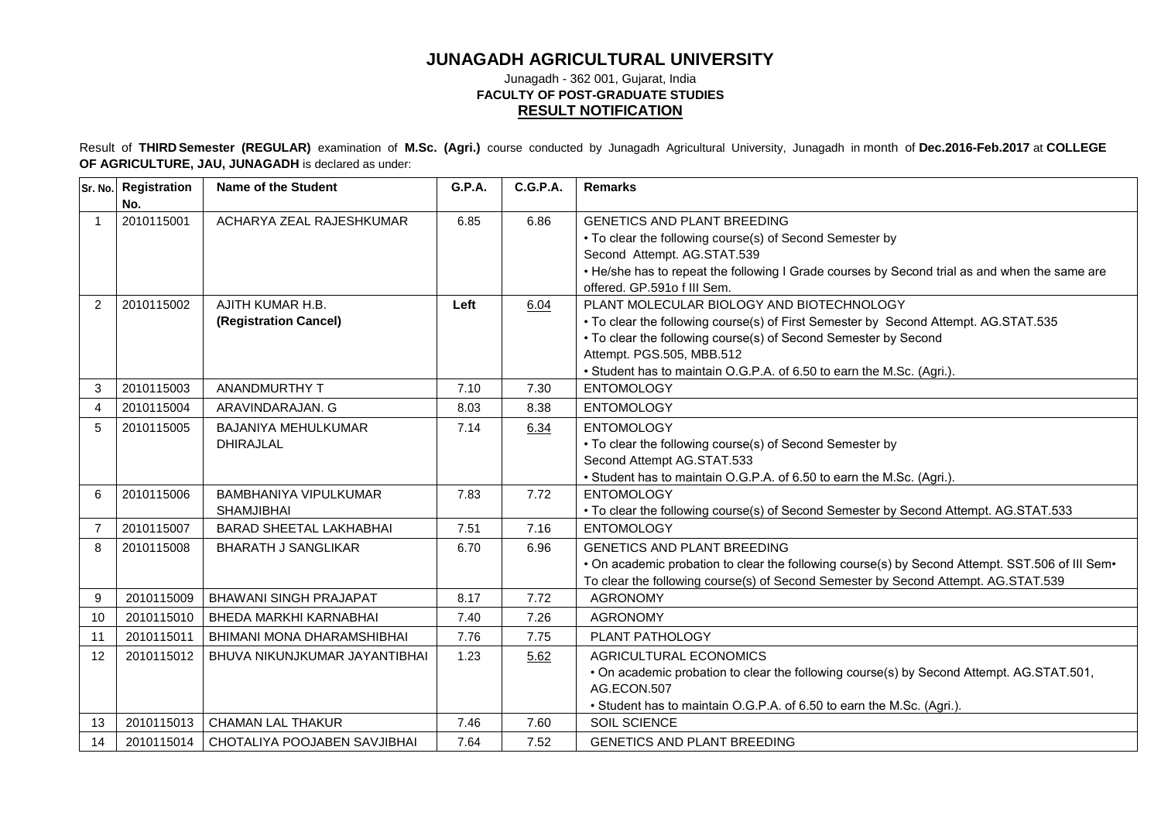## **JUNAGADH AGRICULTURAL UNIVERSITY**

## Junagadh - 362 001, Gujarat, India **FACULTY OF POST-GRADUATE STUDIES RESULT NOTIFICATION**

Result of **THIRD Semester (REGULAR)** examination of **M.Sc. (Agri.)** course conducted by Junagadh Agricultural University, Junagadh in month of **Dec.2016-Feb.2017** at **COLLEGE OF AGRICULTURE, JAU, JUNAGADH** is declared as under:

|                | Sr. No. Registration<br>No. | <b>Name of the Student</b>     | <b>G.P.A.</b> | <b>C.G.P.A.</b> | <b>Remarks</b>                                                                                  |
|----------------|-----------------------------|--------------------------------|---------------|-----------------|-------------------------------------------------------------------------------------------------|
|                | 2010115001                  | ACHARYA ZEAL RAJESHKUMAR       | 6.85          | 6.86            | <b>GENETICS AND PLANT BREEDING</b>                                                              |
|                |                             |                                |               |                 | • To clear the following course(s) of Second Semester by                                        |
|                |                             |                                |               |                 | Second Attempt. AG.STAT.539                                                                     |
|                |                             |                                |               |                 | • He/she has to repeat the following I Grade courses by Second trial as and when the same are   |
|                |                             |                                |               |                 | offered. GP.591o f III Sem.                                                                     |
| $\overline{2}$ | 2010115002                  | AJITH KUMAR H.B.               | Left          | 6.04            | PLANT MOLECULAR BIOLOGY AND BIOTECHNOLOGY                                                       |
|                |                             | (Registration Cancel)          |               |                 | • To clear the following course(s) of First Semester by Second Attempt. AG.STAT.535             |
|                |                             |                                |               |                 | • To clear the following course(s) of Second Semester by Second                                 |
|                |                             |                                |               |                 | Attempt. PGS.505, MBB.512                                                                       |
|                |                             |                                |               |                 | • Student has to maintain O.G.P.A. of 6.50 to earn the M.Sc. (Agri.).                           |
| 3              | 2010115003                  | <b>ANANDMURTHY T</b>           | 7.10          | 7.30            | <b>ENTOMOLOGY</b>                                                                               |
| $\overline{4}$ | 2010115004                  | ARAVINDARAJAN, G               | 8.03          | 8.38            | <b>ENTOMOLOGY</b>                                                                               |
| .5             | 2010115005                  | <b>BAJANIYA MEHULKUMAR</b>     | 7.14          | 6.34            | <b>ENTOMOLOGY</b>                                                                               |
|                |                             | <b>DHIRAJLAL</b>               |               |                 | • To clear the following course(s) of Second Semester by                                        |
|                |                             |                                |               |                 | Second Attempt AG.STAT.533                                                                      |
|                |                             |                                |               |                 | • Student has to maintain O.G.P.A. of 6.50 to earn the M.Sc. (Agri.).                           |
| 6              | 2010115006                  | BAMBHANIYA VIPULKUMAR          | 7.83          | 7.72            | <b>ENTOMOLOGY</b>                                                                               |
|                |                             | <b>SHAMJIBHAI</b>              |               |                 | • To clear the following course(s) of Second Semester by Second Attempt. AG.STAT.533            |
| $\overline{7}$ | 2010115007                  | <b>BARAD SHEETAL LAKHABHAI</b> | 7.51          | 7.16            | <b>ENTOMOLOGY</b>                                                                               |
| 8              | 2010115008                  | <b>BHARATH J SANGLIKAR</b>     | 6.70          | 6.96            | <b>GENETICS AND PLANT BREEDING</b>                                                              |
|                |                             |                                |               |                 | • On academic probation to clear the following course(s) by Second Attempt. SST.506 of III Sem• |
|                |                             |                                |               |                 | To clear the following course(s) of Second Semester by Second Attempt. AG.STAT.539              |
| 9              | 2010115009                  | <b>BHAWANI SINGH PRAJAPAT</b>  | 8.17          | 7.72            | <b>AGRONOMY</b>                                                                                 |
| 10             | 2010115010                  | BHEDA MARKHI KARNABHAI         | 7.40          | 7.26            | <b>AGRONOMY</b>                                                                                 |
| 11             | 2010115011                  | BHIMANI MONA DHARAMSHIBHAI     | 7.76          | 7.75            | PLANT PATHOLOGY                                                                                 |
| 12             | 2010115012                  | BHUVA NIKUNJKUMAR JAYANTIBHAI  | 1.23          | 5.62            | AGRICULTURAL ECONOMICS                                                                          |
|                |                             |                                |               |                 | . On academic probation to clear the following course(s) by Second Attempt. AG.STAT.501,        |
|                |                             |                                |               |                 | AG.ECON.507                                                                                     |
|                |                             |                                |               |                 | • Student has to maintain O.G.P.A. of 6.50 to earn the M.Sc. (Agri.).                           |
| 13             | 2010115013                  | <b>CHAMAN LAL THAKUR</b>       | 7.46          | 7.60            | SOIL SCIENCE                                                                                    |
| 14             | 2010115014                  | CHOTALIYA POOJABEN SAVJIBHAI   | 7.64          | 7.52            | <b>GENETICS AND PLANT BREEDING</b>                                                              |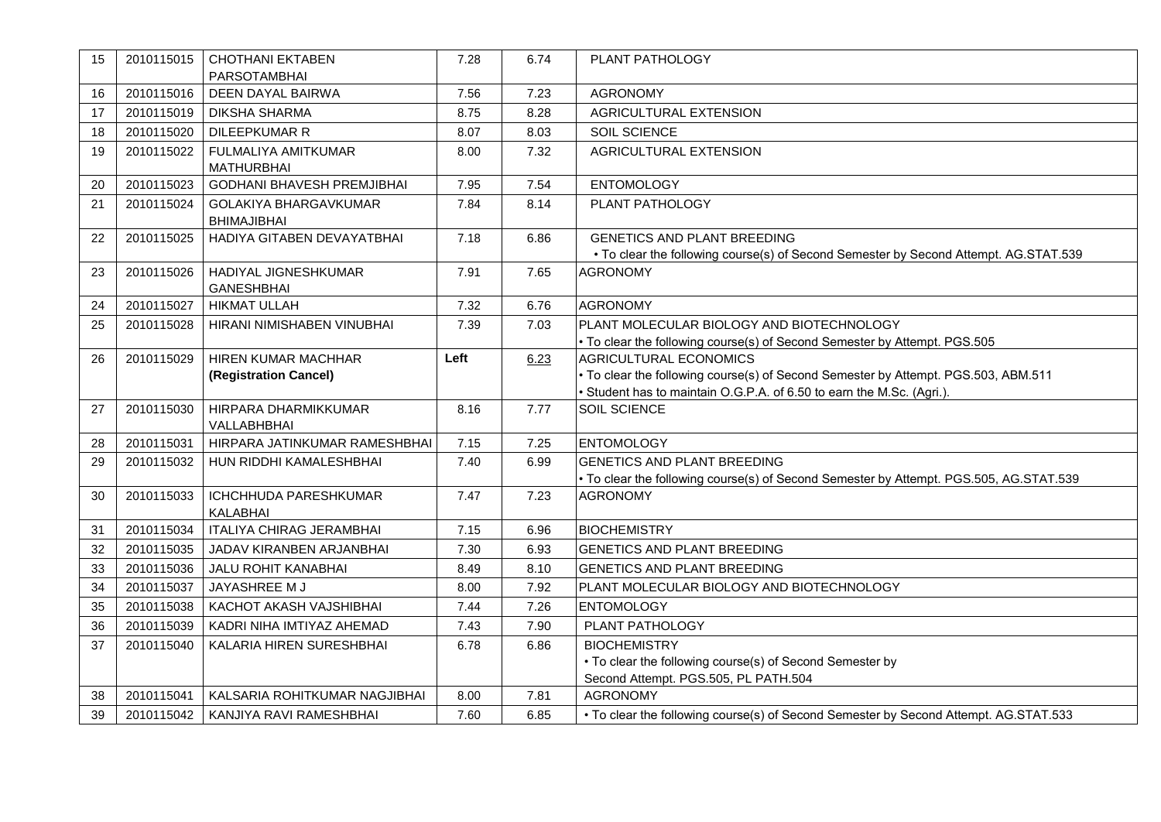| 15 | 2010115015 | <b>CHOTHANI EKTABEN</b><br>PARSOTAMBHAI     | 7.28 | 6.74 | PLANT PATHOLOGY                                                                                                              |
|----|------------|---------------------------------------------|------|------|------------------------------------------------------------------------------------------------------------------------------|
| 16 | 2010115016 | DEEN DAYAL BAIRWA                           | 7.56 | 7.23 | <b>AGRONOMY</b>                                                                                                              |
| 17 | 2010115019 | <b>DIKSHA SHARMA</b>                        | 8.75 | 8.28 | AGRICULTURAL EXTENSION                                                                                                       |
| 18 | 2010115020 | <b>DILEEPKUMAR R</b>                        | 8.07 | 8.03 | SOIL SCIENCE                                                                                                                 |
| 19 | 2010115022 | FULMALIYA AMITKUMAR<br><b>MATHURBHAI</b>    | 8.00 | 7.32 | AGRICULTURAL EXTENSION                                                                                                       |
| 20 | 2010115023 | <b>GODHANI BHAVESH PREMJIBHAI</b>           | 7.95 | 7.54 | <b>ENTOMOLOGY</b>                                                                                                            |
| 21 | 2010115024 | GOLAKIYA BHARGAVKUMAR<br><b>BHIMAJIBHAI</b> | 7.84 | 8.14 | PLANT PATHOLOGY                                                                                                              |
| 22 | 2010115025 | HADIYA GITABEN DEVAYATBHAI                  | 7.18 | 6.86 | <b>GENETICS AND PLANT BREEDING</b>                                                                                           |
|    |            |                                             |      |      | • To clear the following course(s) of Second Semester by Second Attempt. AG.STAT.539                                         |
| 23 | 2010115026 | HADIYAL JIGNESHKUMAR                        | 7.91 | 7.65 | <b>AGRONOMY</b>                                                                                                              |
| 24 | 2010115027 | <b>GANESHBHAI</b><br><b>HIKMAT ULLAH</b>    | 7.32 | 6.76 | <b>AGRONOMY</b>                                                                                                              |
| 25 | 2010115028 | HIRANI NIMISHABEN VINUBHAI                  | 7.39 | 7.03 | PLANT MOLECULAR BIOLOGY AND BIOTECHNOLOGY                                                                                    |
|    |            |                                             |      |      | • To clear the following course(s) of Second Semester by Attempt. PGS.505                                                    |
| 26 | 2010115029 | HIREN KUMAR MACHHAR                         | Left | 6.23 | <b>AGRICULTURAL ECONOMICS</b>                                                                                                |
|    |            | (Registration Cancel)                       |      |      | • To clear the following course(s) of Second Semester by Attempt. PGS.503, ABM.511                                           |
|    |            |                                             |      |      | · Student has to maintain O.G.P.A. of 6.50 to earn the M.Sc. (Agri.).                                                        |
| 27 | 2010115030 | HIRPARA DHARMIKKUMAR                        | 8.16 | 7.77 | SOIL SCIENCE                                                                                                                 |
|    |            | VALLABHBHAI                                 |      |      |                                                                                                                              |
| 28 | 2010115031 | HIRPARA JATINKUMAR RAMESHBHAI               | 7.15 | 7.25 | <b>ENTOMOLOGY</b>                                                                                                            |
| 29 | 2010115032 | HUN RIDDHI KAMALESHBHAI                     | 7.40 | 6.99 | <b>GENETICS AND PLANT BREEDING</b><br>• To clear the following course(s) of Second Semester by Attempt. PGS.505, AG.STAT.539 |
| 30 | 2010115033 | ICHCHHUDA PARESHKUMAR                       | 7.47 | 7.23 | <b>AGRONOMY</b>                                                                                                              |
|    |            | KALABHAI                                    |      |      |                                                                                                                              |
| 31 | 2010115034 | <b>ITALIYA CHIRAG JERAMBHAI</b>             | 7.15 | 6.96 | <b>BIOCHEMISTRY</b>                                                                                                          |
| 32 | 2010115035 | JADAV KIRANBEN ARJANBHAI                    | 7.30 | 6.93 | <b>GENETICS AND PLANT BREEDING</b>                                                                                           |
| 33 | 2010115036 | <b>JALU ROHIT KANABHAI</b>                  | 8.49 | 8.10 | <b>GENETICS AND PLANT BREEDING</b>                                                                                           |
| 34 | 2010115037 | JAYASHREE M J                               | 8.00 | 7.92 | PLANT MOLECULAR BIOLOGY AND BIOTECHNOLOGY                                                                                    |
| 35 | 2010115038 | KACHOT AKASH VAJSHIBHAI                     | 7.44 | 7.26 | <b>ENTOMOLOGY</b>                                                                                                            |
| 36 | 2010115039 | KADRI NIHA IMTIYAZ AHEMAD                   | 7.43 | 7.90 | PLANT PATHOLOGY                                                                                                              |
| 37 | 2010115040 | KALARIA HIREN SURESHBHAI                    | 6.78 | 6.86 | <b>BIOCHEMISTRY</b>                                                                                                          |
|    |            |                                             |      |      | • To clear the following course(s) of Second Semester by                                                                     |
|    |            |                                             |      |      | Second Attempt. PGS.505, PL PATH.504                                                                                         |
| 38 | 2010115041 | KALSARIA ROHITKUMAR NAGJIBHAI               | 8.00 | 7.81 | <b>AGRONOMY</b>                                                                                                              |
| 39 | 2010115042 | KANJIYA RAVI RAMESHBHAI                     | 7.60 | 6.85 | • To clear the following course(s) of Second Semester by Second Attempt. AG.STAT.533                                         |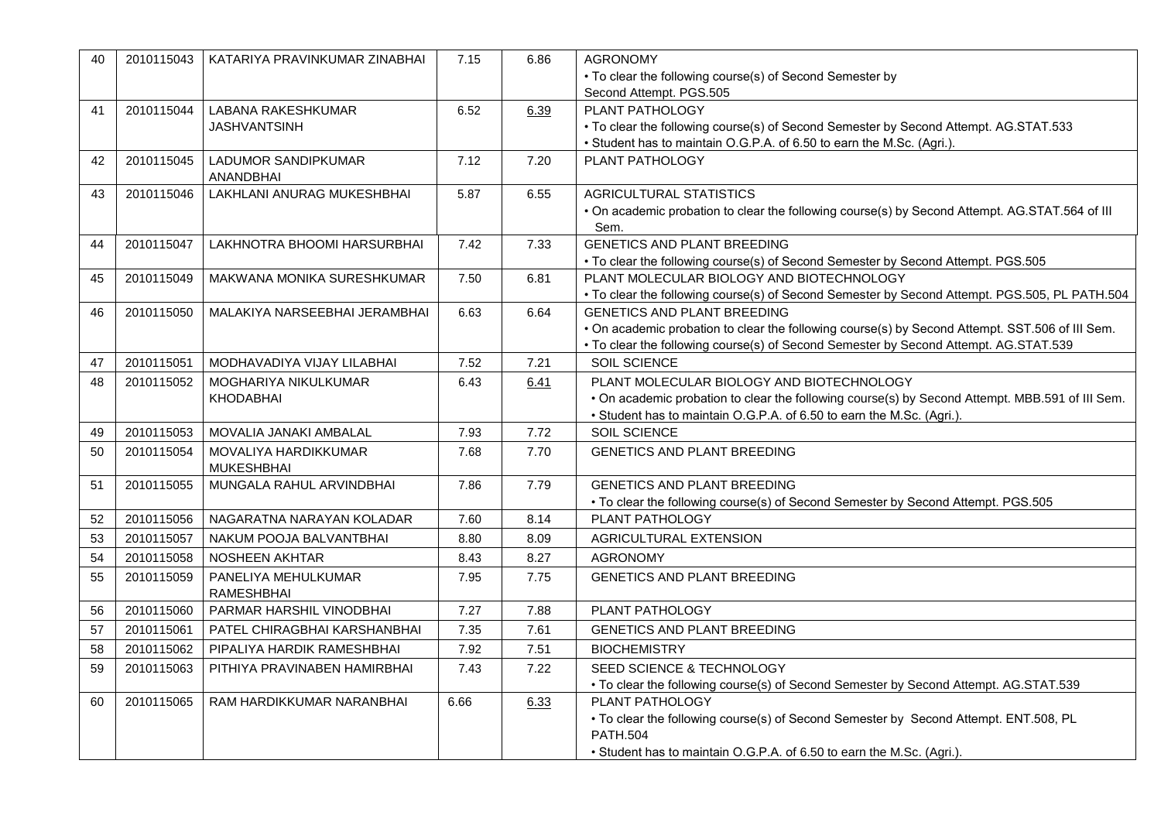| 40 | 2010115043 | KATARIYA PRAVINKUMAR ZINABHAI                    | 7.15 | 6.86 | <b>AGRONOMY</b><br>• To clear the following course(s) of Second Semester by<br>Second Attempt. PGS.505                                                                                                                        |
|----|------------|--------------------------------------------------|------|------|-------------------------------------------------------------------------------------------------------------------------------------------------------------------------------------------------------------------------------|
| 41 | 2010115044 | <b>LABANA RAKESHKUMAR</b><br><b>JASHVANTSINH</b> | 6.52 | 6.39 | PLANT PATHOLOGY<br>• To clear the following course(s) of Second Semester by Second Attempt. AG.STAT.533<br>· Student has to maintain O.G.P.A. of 6.50 to earn the M.Sc. (Agri.).                                              |
| 42 | 2010115045 | <b>LADUMOR SANDIPKUMAR</b><br>ANANDBHAI          | 7.12 | 7.20 | PLANT PATHOLOGY                                                                                                                                                                                                               |
| 43 | 2010115046 | LAKHLANI ANURAG MUKESHBHAI                       | 5.87 | 6.55 | <b>AGRICULTURAL STATISTICS</b><br>. On academic probation to clear the following course(s) by Second Attempt. AG.STAT.564 of III<br>Sem.                                                                                      |
| 44 | 2010115047 | LAKHNOTRA BHOOMI HARSURBHAI                      | 7.42 | 7.33 | <b>GENETICS AND PLANT BREEDING</b><br>• To clear the following course(s) of Second Semester by Second Attempt. PGS.505                                                                                                        |
| 45 | 2010115049 | MAKWANA MONIKA SURESHKUMAR                       | 7.50 | 6.81 | PLANT MOLECULAR BIOLOGY AND BIOTECHNOLOGY<br>• To clear the following course(s) of Second Semester by Second Attempt. PGS.505, PL PATH.504                                                                                    |
| 46 | 2010115050 | MALAKIYA NARSEEBHAI JERAMBHAI                    | 6.63 | 6.64 | <b>GENETICS AND PLANT BREEDING</b><br>. On academic probation to clear the following course(s) by Second Attempt. SST.506 of III Sem.<br>• To clear the following course(s) of Second Semester by Second Attempt. AG.STAT.539 |
| 47 | 2010115051 | MODHAVADIYA VIJAY LILABHAI                       | 7.52 | 7.21 | SOIL SCIENCE                                                                                                                                                                                                                  |
| 48 | 2010115052 | MOGHARIYA NIKULKUMAR<br><b>KHODABHAI</b>         | 6.43 | 6.41 | PLANT MOLECULAR BIOLOGY AND BIOTECHNOLOGY<br>. On academic probation to clear the following course(s) by Second Attempt. MBB.591 of III Sem.<br>• Student has to maintain O.G.P.A. of 6.50 to earn the M.Sc. (Agri.).         |
| 49 | 2010115053 | MOVALIA JANAKI AMBALAL                           | 7.93 | 7.72 | SOIL SCIENCE                                                                                                                                                                                                                  |
| 50 | 2010115054 | MOVALIYA HARDIKKUMAR<br><b>MUKESHBHAI</b>        | 7.68 | 7.70 | GENETICS AND PLANT BREEDING                                                                                                                                                                                                   |
| 51 | 2010115055 | MUNGALA RAHUL ARVINDBHAI                         | 7.86 | 7.79 | <b>GENETICS AND PLANT BREEDING</b><br>• To clear the following course(s) of Second Semester by Second Attempt. PGS.505                                                                                                        |
| 52 | 2010115056 | NAGARATNA NARAYAN KOLADAR                        | 7.60 | 8.14 | PLANT PATHOLOGY                                                                                                                                                                                                               |
| 53 | 2010115057 | NAKUM POOJA BALVANTBHAI                          | 8.80 | 8.09 | AGRICULTURAL EXTENSION                                                                                                                                                                                                        |
| 54 | 2010115058 | NOSHEEN AKHTAR                                   | 8.43 | 8.27 | <b>AGRONOMY</b>                                                                                                                                                                                                               |
| 55 | 2010115059 | PANELIYA MEHULKUMAR<br>RAMESHBHAI                | 7.95 | 7.75 | <b>GENETICS AND PLANT BREEDING</b>                                                                                                                                                                                            |
| 56 | 2010115060 | PARMAR HARSHIL VINODBHAI                         | 7.27 | 7.88 | PLANT PATHOLOGY                                                                                                                                                                                                               |
| 57 | 2010115061 | PATEL CHIRAGBHAI KARSHANBHAI                     | 7.35 | 7.61 | <b>GENETICS AND PLANT BREEDING</b>                                                                                                                                                                                            |
| 58 | 2010115062 | PIPALIYA HARDIK RAMESHBHAI                       | 7.92 | 7.51 | <b>BIOCHEMISTRY</b>                                                                                                                                                                                                           |
| 59 | 2010115063 | PITHIYA PRAVINABEN HAMIRBHAI                     | 7.43 | 7.22 | SEED SCIENCE & TECHNOLOGY<br>• To clear the following course(s) of Second Semester by Second Attempt. AG.STAT.539                                                                                                             |
| 60 | 2010115065 | RAM HARDIKKUMAR NARANBHAI                        | 6.66 | 6.33 | PLANT PATHOLOGY<br>• To clear the following course(s) of Second Semester by Second Attempt. ENT.508, PL<br><b>PATH.504</b><br>• Student has to maintain O.G.P.A. of 6.50 to earn the M.Sc. (Agri.).                           |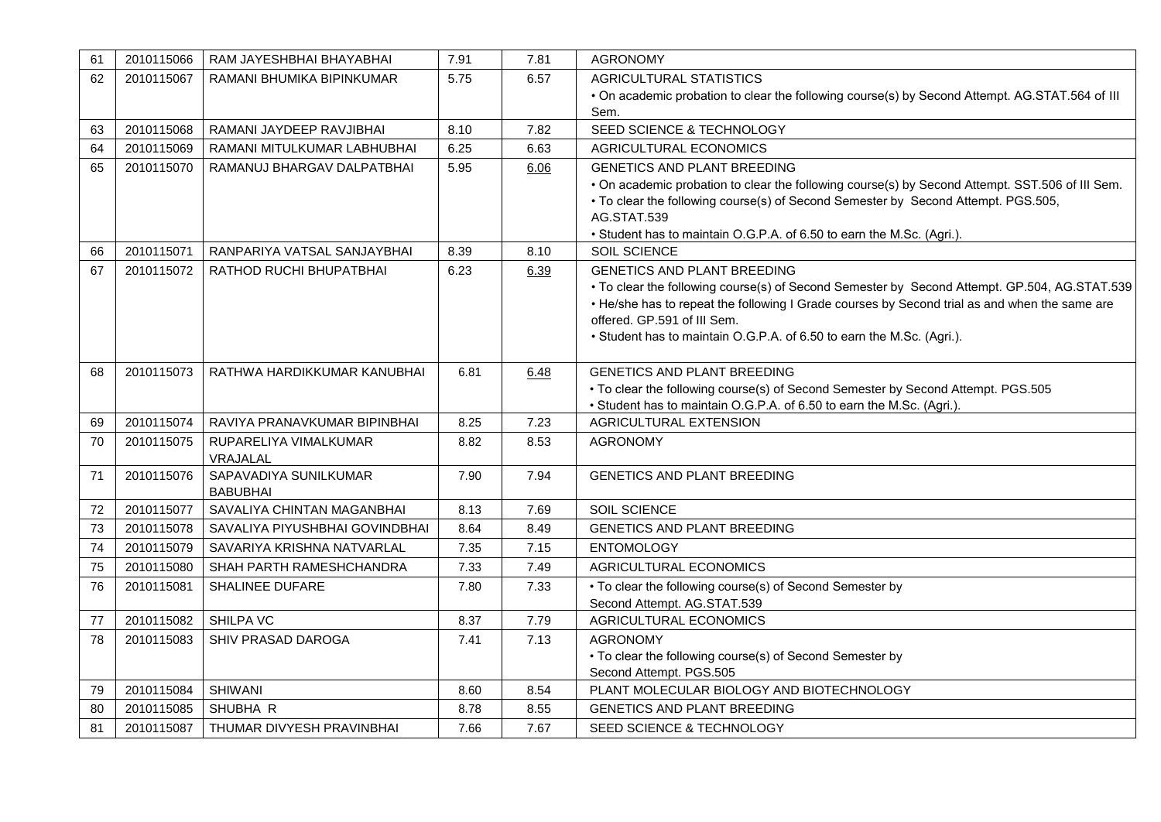| 61 | 2010115066 | RAM JAYESHBHAI BHAYABHAI       | 7.91 | 7.81 | <b>AGRONOMY</b>                                                                                 |
|----|------------|--------------------------------|------|------|-------------------------------------------------------------------------------------------------|
| 62 | 2010115067 | RAMANI BHUMIKA BIPINKUMAR      | 5.75 | 6.57 | <b>AGRICULTURAL STATISTICS</b>                                                                  |
|    |            |                                |      |      | . On academic probation to clear the following course(s) by Second Attempt. AG.STAT.564 of III  |
|    |            |                                |      |      | Sem.                                                                                            |
| 63 | 2010115068 | RAMANI JAYDEEP RAVJIBHAI       | 8.10 | 7.82 | SEED SCIENCE & TECHNOLOGY                                                                       |
| 64 | 2010115069 | RAMANI MITULKUMAR LABHUBHAI    | 6.25 | 6.63 | AGRICULTURAL ECONOMICS                                                                          |
| 65 | 2010115070 | RAMANUJ BHARGAV DALPATBHAI     | 5.95 | 6.06 | <b>GENETICS AND PLANT BREEDING</b>                                                              |
|    |            |                                |      |      | . On academic probation to clear the following course(s) by Second Attempt. SST.506 of III Sem. |
|    |            |                                |      |      | • To clear the following course(s) of Second Semester by Second Attempt. PGS.505,               |
|    |            |                                |      |      | AG.STAT.539<br>• Student has to maintain O.G.P.A. of 6.50 to earn the M.Sc. (Agri.).            |
| 66 | 2010115071 | RANPARIYA VATSAL SANJAYBHAI    | 8.39 | 8.10 | SOIL SCIENCE                                                                                    |
| 67 | 2010115072 | RATHOD RUCHI BHUPATBHAI        | 6.23 | 6.39 | <b>GENETICS AND PLANT BREEDING</b>                                                              |
|    |            |                                |      |      | • To clear the following course(s) of Second Semester by Second Attempt. GP.504, AG.STAT.539    |
|    |            |                                |      |      | • He/she has to repeat the following I Grade courses by Second trial as and when the same are   |
|    |            |                                |      |      | offered. GP.591 of III Sem.                                                                     |
|    |            |                                |      |      | • Student has to maintain O.G.P.A. of 6.50 to earn the M.Sc. (Agri.).                           |
|    |            |                                |      |      |                                                                                                 |
| 68 | 2010115073 | RATHWA HARDIKKUMAR KANUBHAI    | 6.81 | 6.48 | <b>GENETICS AND PLANT BREEDING</b>                                                              |
|    |            |                                |      |      | • To clear the following course(s) of Second Semester by Second Attempt. PGS.505                |
|    |            |                                |      |      | • Student has to maintain O.G.P.A. of 6.50 to earn the M.Sc. (Agri.).                           |
| 69 | 2010115074 | RAVIYA PRANAVKUMAR BIPINBHAI   | 8.25 | 7.23 | <b>AGRICULTURAL EXTENSION</b>                                                                   |
| 70 | 2010115075 | RUPARELIYA VIMALKUMAR          | 8.82 | 8.53 | <b>AGRONOMY</b>                                                                                 |
|    |            | VRAJALAL                       |      |      |                                                                                                 |
| 71 | 2010115076 | SAPAVADIYA SUNILKUMAR          | 7.90 | 7.94 | <b>GENETICS AND PLANT BREEDING</b>                                                              |
|    |            | <b>BABUBHAI</b>                |      |      |                                                                                                 |
| 72 | 2010115077 | SAVALIYA CHINTAN MAGANBHAI     | 8.13 | 7.69 | SOIL SCIENCE                                                                                    |
| 73 | 2010115078 | SAVALIYA PIYUSHBHAI GOVINDBHAI | 8.64 | 8.49 | <b>GENETICS AND PLANT BREEDING</b>                                                              |
| 74 | 2010115079 | SAVARIYA KRISHNA NATVARLAL     | 7.35 | 7.15 | <b>ENTOMOLOGY</b>                                                                               |
| 75 | 2010115080 | SHAH PARTH RAMESHCHANDRA       | 7.33 | 7.49 | AGRICULTURAL ECONOMICS                                                                          |
| 76 | 2010115081 | <b>SHALINEE DUFARE</b>         | 7.80 | 7.33 | • To clear the following course(s) of Second Semester by                                        |
|    |            |                                |      |      | Second Attempt. AG.STAT.539                                                                     |
| 77 | 2010115082 | SHILPA VC                      | 8.37 | 7.79 | <b>AGRICULTURAL ECONOMICS</b>                                                                   |
| 78 | 2010115083 | SHIV PRASAD DAROGA             | 7.41 | 7.13 | <b>AGRONOMY</b>                                                                                 |
|    |            |                                |      |      | • To clear the following course(s) of Second Semester by                                        |
|    |            |                                |      |      | Second Attempt. PGS.505                                                                         |
| 79 | 2010115084 | <b>SHIWANI</b>                 | 8.60 | 8.54 | PLANT MOLECULAR BIOLOGY AND BIOTECHNOLOGY                                                       |
| 80 | 2010115085 | SHUBHA R                       | 8.78 | 8.55 | <b>GENETICS AND PLANT BREEDING</b>                                                              |
| 81 | 2010115087 | THUMAR DIVYESH PRAVINBHAI      | 7.66 | 7.67 | SEED SCIENCE & TECHNOLOGY                                                                       |